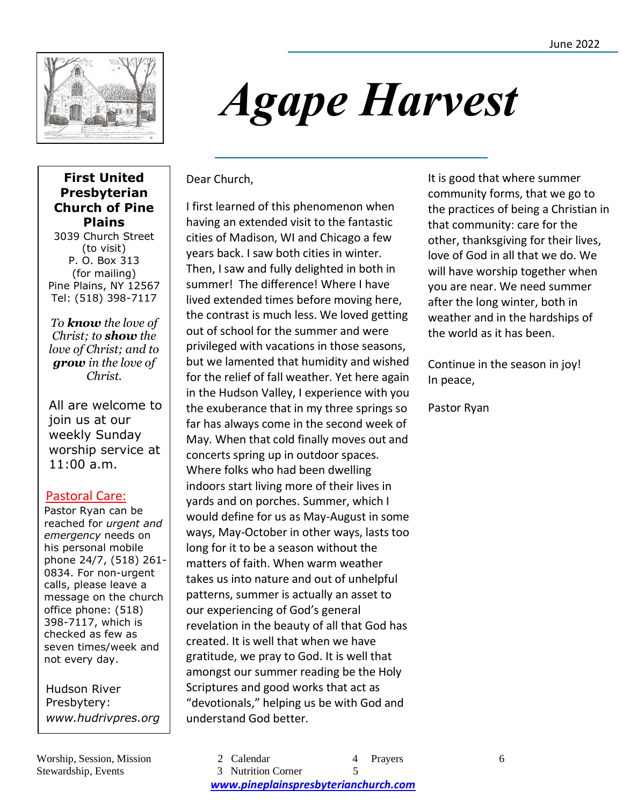

# *Agape Harvest*

#### **First United Presbyterian Church of Pine Plains**

3039 Church Street (to visit) P. O. Box 313 (for mailing) Pine Plains, NY 12567 Tel: (518) 398-7117

*To know the love of Christ; to show the love of Christ; and to grow in the love of Christ.*

All are welcome to join us at our weekly Sunday worship service at 11:00 a.m.

#### Pastoral Care:

Pastor Ryan can be reached for *urgent and emergency* needs on his personal mobile phone 24/7, (518) 261- 0834. For non-urgent calls, please leave a message on the church office phone: (518) 398-7117, which is checked as few as seven times/week and not every day.

Hudson River Presbytery: *www.hudrivpres.org* Dear Church,

I first learned of this phenomenon when having an extended visit to the fantastic cities of Madison, WI and Chicago a few years back. I saw both cities in winter. Then, I saw and fully delighted in both in summer! The difference! Where I have lived extended times before moving here, the contrast is much less. We loved getting out of school for the summer and were privileged with vacations in those seasons, but we lamented that humidity and wished for the relief of fall weather. Yet here again in the Hudson Valley, I experience with you the exuberance that in my three springs so far has always come in the second week of May. When that cold finally moves out and concerts spring up in outdoor spaces. Where folks who had been dwelling indoors start living more of their lives in yards and on porches. Summer, which I would define for us as May-August in some ways, May-October in other ways, lasts too long for it to be a season without the matters of faith. When warm weather takes us into nature and out of unhelpful patterns, summer is actually an asset to our experiencing of God's general revelation in the beauty of all that God has created. It is well that when we have gratitude, we pray to God. It is well that amongst our summer reading be the Holy Scriptures and good works that act as "devotionals," helping us be with God and understand God better.

 It is good that where summer community forms, that we go to will have worship together when the practices of being a Christian in that community: care for the other, thanksgiving for their lives, love of God in all that we do. We you are near. We need summer after the long winter, both in weather and in the hardships of the world as it has been.

Continue in the season in joy! In peace,

Pastor Ryan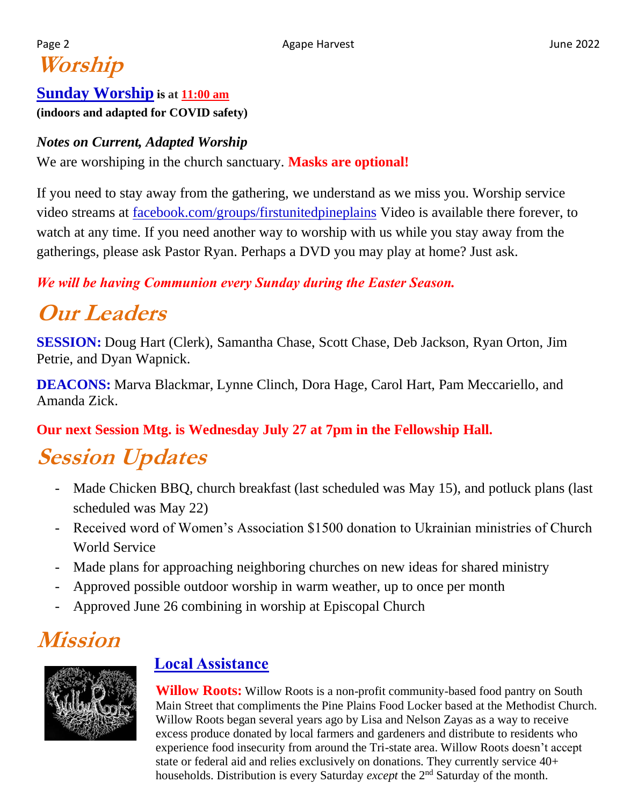## Page 2 **Agape Harvest** Agape Harvest **Agape Harvest** Agape Agape Harvest Agape Agape Agape Agape Agape Agape Agape Agape Agape Agape Agape Agape Agape Agape Agape Agape Agape Agape Agape Agape Agape Agape Agape Agape Agape **Worship**

## **Sunday Worship is at 11:00 am (indoors and adapted for COVID safety)**

### *Notes on Current, Adapted Worship*

We are worshiping in the church sanctuary. **Masks are optional!**

If you need to stay away from the gathering, we understand as we miss you. Worship service video streams at [facebook.com/groups/firstunitedpineplains](http://facebook.com/groups/firstunitedpineplains) Video is available there forever, to watch at any time. If you need another way to worship with us while you stay away from the gatherings, please ask Pastor Ryan. Perhaps a DVD you may play at home? Just ask.

*We will be having Communion every Sunday during the Easter Season.*

# **Our Leaders**

**SESSION:** Doug Hart (Clerk), Samantha Chase, Scott Chase, Deb Jackson, Ryan Orton, Jim Petrie, and Dyan Wapnick.

**DEACONS:** Marva Blackmar, Lynne Clinch, Dora Hage, Carol Hart, Pam Meccariello, and Amanda Zick.

## **Our next Session Mtg. is Wednesday July 27 at 7pm in the Fellowship Hall.**

# **Session Updates**

- Made Chicken BBQ, church breakfast (last scheduled was May 15), and potluck plans (last scheduled was May 22)
- Received word of Women's Association \$1500 donation to Ukrainian ministries of Church World Service
- Made plans for approaching neighboring churches on new ideas for shared ministry
- Approved possible outdoor worship in warm weather, up to once per month
- Approved June 26 combining in worship at Episcopal Church

# **Mission**



## **Local Assistance**

**Willow Roots:** Willow Roots is a non-profit community-based food pantry on South Main Street that compliments the Pine Plains Food Locker based at the Methodist Church. Willow Roots began several years ago by Lisa and Nelson Zayas as a way to receive excess produce donated by local farmers and gardeners and distribute to residents who experience food insecurity from around the Tri-state area. Willow Roots doesn't accept state or federal aid and relies exclusively on donations. They currently service 40+ households. Distribution is every Saturday *except* the 2nd Saturday of the month.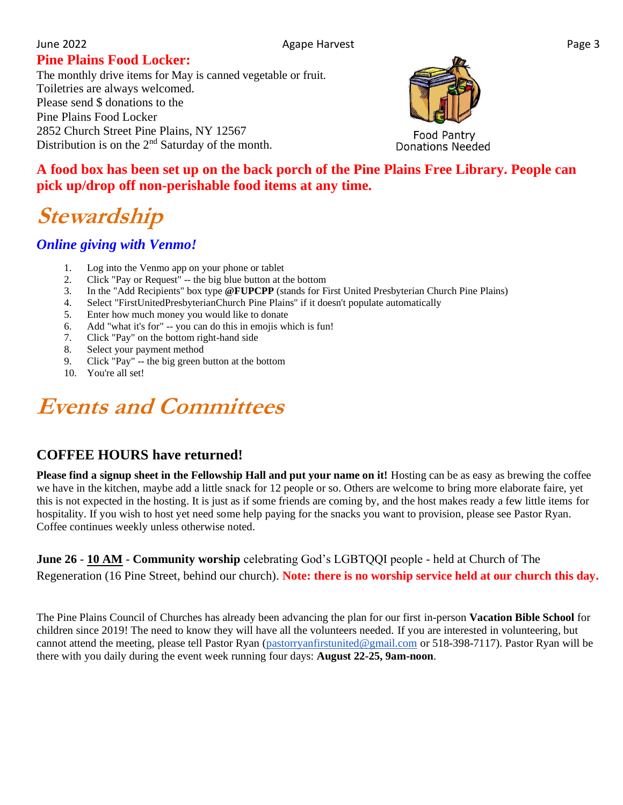#### June 2022 **Agape Harvest** Page 3

#### **Pine Plains Food Locker:**

The monthly drive items for May is canned vegetable or fruit. Toiletries are always welcomed. Please send \$ donations to the Pine Plains Food Locker 2852 Church Street Pine Plains, NY 12567 Distribution is on the 2<sup>nd</sup> Saturday of the month.



**A food box has been set up on the back porch of the Pine Plains Free Library. People can pick up/drop off non-perishable food items at any time.** 

# **Stewardship**

#### *Online giving with Venmo!*

- 1. Log into the Venmo app on your phone or tablet
- 2. Click "Pay or Request" -- the big blue button at the bottom
- 3. In the "Add Recipients" box type **@FUPCPP** (stands for First United Presbyterian Church Pine Plains)
- 4. Select "FirstUnitedPresbyterianChurch Pine Plains" if it doesn't populate automatically
- 5. Enter how much money you would like to donate
- 6. Add "what it's for" -- you can do this in emojis which is fun!
- 7. Click "Pay" on the bottom right-hand side
- 8. Select your payment method
- 9. Click "Pay" -- the big green button at the bottom
- 10. You're all set!

# **Events and Committees**

#### **COFFEE HOURS have returned!**

**Please find a signup sheet in the Fellowship Hall and put your name on it!** Hosting can be as easy as brewing the coffee we have in the kitchen, maybe add a little snack for 12 people or so. Others are welcome to bring more elaborate faire, yet this is not expected in the hosting. It is just as if some friends are coming by, and the host makes ready a few little items for hospitality. If you wish to host yet need some help paying for the snacks you want to provision, please see Pastor Ryan. Coffee continues weekly unless otherwise noted.

**June 26** - **10 AM** - **Community worship** celebrating God's LGBTQQI people - held at Church of The Regeneration (16 Pine Street, behind our church). **Note: there is no worship service held at our church this day.**

The Pine Plains Council of Churches has already been advancing the plan for our first in-person **Vacation Bible School** for children since 2019! The need to know they will have all the volunteers needed. If you are interested in volunteering, but cannot attend the meeting, please tell Pastor Ryan [\(pastorryanfirstunited@gmail.com](mailto:pastorryanfirstunited@gmail.com) or 518-398-7117). Pastor Ryan will be there with you daily during the event week running four days: **August 22-25, 9am-noon**.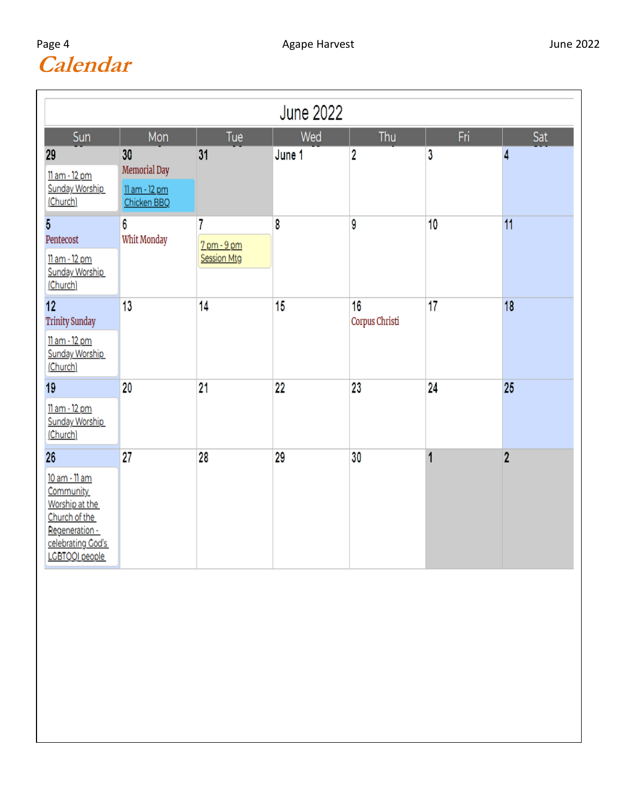## Page **Calendar**

| June 2022                                                                                                                    |                                                    |                                        |        |                      |                 |                |
|------------------------------------------------------------------------------------------------------------------------------|----------------------------------------------------|----------------------------------------|--------|----------------------|-----------------|----------------|
| Sun                                                                                                                          | Mon                                                | Tue                                    | Wed    | Thu                  | Fri.            | Sat            |
| 29<br>11 am - 12 pm<br><b>Sunday Worship</b><br>(Church)                                                                     | 30<br>Memorial Day<br>11 am - 12 pm<br>Chicken BBQ | 31                                     | June 1 | 2                    | 3               | 4              |
| 5<br>Pentecost<br>11 am - 12 pm<br><b>Sunday Worship</b><br>(Church)                                                         | 6<br>Whit Monday                                   | 7<br>7 pm - 9 pm<br><b>Session Mtg</b> | 8      | 9                    | 10              | 11             |
| 12 <sub>2</sub><br><b>Trinity Sunday</b><br>11 am - 12 pm<br><b>Sunday Worship</b><br>(Church)                               | 13                                                 | 14                                     | 15     | 16<br>Corpus Christi | 17              | 18             |
| 19<br>11 am - 12 pm<br><b>Sunday Worship</b><br>(Church)                                                                     | 20                                                 | 21                                     | $22\,$ | 23                   | $\overline{24}$ | 25             |
| 26<br>10 am - 11 am<br>Community<br>Worship at the<br>Church of the<br>Regeneration -<br>celebrating God's<br>LGBTQQI people | 27                                                 | 28                                     | 29     | 30                   | 1               | $\overline{2}$ |
|                                                                                                                              |                                                    |                                        |        |                      |                 |                |
|                                                                                                                              |                                                    |                                        |        |                      |                 |                |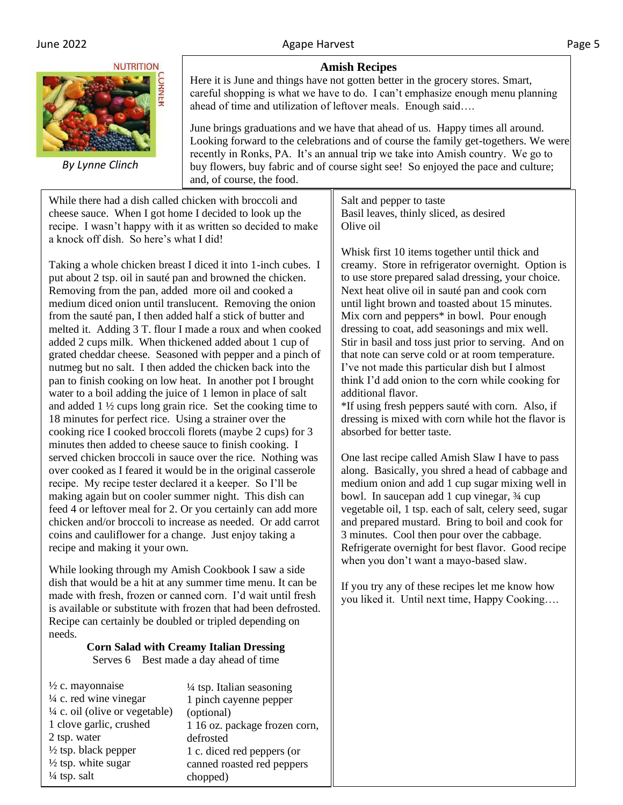#### **NUTRITION**



 *By Lynne Clinch*

#### **Amish Recipes**

Here it is June and things have not gotten better in the grocery stores. Smart, careful shopping is what we have to do. I can't emphasize enough menu planning ahead of time and utilization of leftover meals. Enough said….

June brings graduations and we have that ahead of us. Happy times all around. Looking forward to the celebrations and of course the family get-togethers. We were recently in Ronks, PA. It's an annual trip we take into Amish country. We go to buy flowers, buy fabric and of course sight see! So enjoyed the pace and culture; and, of course, the food.

While there had a dish called chicken with broccoli and cheese sauce. When I got home I decided to look up the recipe. I wasn't happy with it as written so decided to make a knock off dish. So here's what I did!

Taking a whole chicken breast I diced it into 1-inch cubes. I put about 2 tsp. oil in sauté pan and browned the chicken. Removing from the pan, added more oil and cooked a medium diced onion until translucent. Removing the onion from the sauté pan, I then added half a stick of butter and melted it. Adding 3 T. flour I made a roux and when cooked added 2 cups milk. When thickened added about 1 cup of grated cheddar cheese. Seasoned with pepper and a pinch of nutmeg but no salt. I then added the chicken back into the pan to finish cooking on low heat. In another pot I brought water to a boil adding the juice of 1 lemon in place of salt and added 1 ½ cups long grain rice. Set the cooking time to 18 minutes for perfect rice. Using a strainer over the cooking rice I cooked broccoli florets (maybe 2 cups) for 3 minutes then added to cheese sauce to finish cooking. I served chicken broccoli in sauce over the rice. Nothing was over cooked as I feared it would be in the original casserole recipe. My recipe tester declared it a keeper. So I'll be making again but on cooler summer night. This dish can feed 4 or leftover meal for 2. Or you certainly can add more chicken and/or broccoli to increase as needed. Or add carrot coins and cauliflower for a change. Just enjoy taking a recipe and making it your own.

While looking through my Amish Cookbook I saw a side dish that would be a hit at any summer time menu. It can be made with fresh, frozen or canned corn. I'd wait until fresh is available or substitute with frozen that had been defrosted. Recipe can certainly be doubled or tripled depending on needs.

#### **Corn Salad with Creamy Italian Dressing** Serves 6 Best made a day ahead of time

 $\frac{1}{2}$  c. mayonnaise  $\frac{1}{4}$  c. red wine vinegar  $\frac{1}{4}$  c. oil (olive or vegetable) 1 clove garlic, crushed 2 tsp. water  $\frac{1}{2}$  tsp. black pepper  $\frac{1}{2}$  tsp. white sugar  $\frac{1}{4}$  tsp. salt (optional) defrosted

 $\frac{1}{4}$  tsp. Italian seasoning 1 pinch cayenne pepper 1 16 oz. package frozen corn, 1 c. diced red peppers (or canned roasted red peppers chopped)

Salt and pepper to taste Basil leaves, thinly sliced, as desired Olive oil

Whisk first 10 items together until thick and creamy. Store in refrigerator overnight. Option is to use store prepared salad dressing, your choice. Next heat olive oil in sauté pan and cook corn until light brown and toasted about 15 minutes. Mix corn and peppers\* in bowl. Pour enough dressing to coat, add seasonings and mix well. Stir in basil and toss just prior to serving. And on that note can serve cold or at room temperature. I've not made this particular dish but I almost think I'd add onion to the corn while cooking for additional flavor.

\*If using fresh peppers sauté with corn. Also, if dressing is mixed with corn while hot the flavor is absorbed for better taste.

One last recipe called Amish Slaw I have to pass along. Basically, you shred a head of cabbage and medium onion and add 1 cup sugar mixing well in bowl. In saucepan add 1 cup vinegar, ¾ cup vegetable oil, 1 tsp. each of salt, celery seed, sugar and prepared mustard. Bring to boil and cook for 3 minutes. Cool then pour over the cabbage. Refrigerate overnight for best flavor. Good recipe when you don't want a mayo-based slaw.

If you try any of these recipes let me know how you liked it. Until next time, Happy Cooking….